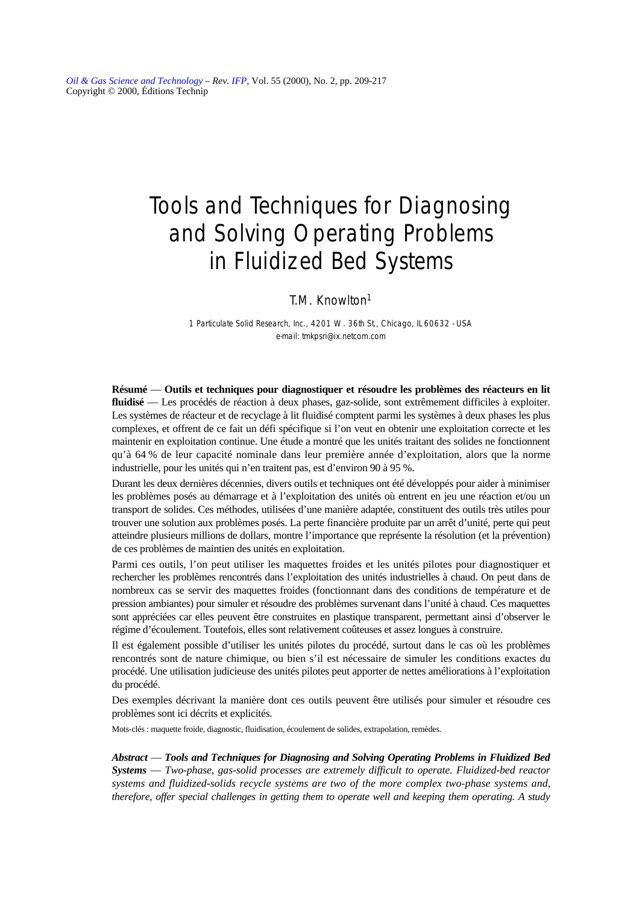*[Oil & Gas Science and Technology](http://ogst.ifp.fr/) – Rev. [IFP,](http://www.ifp.fr/)* Vol. 55 (2000), No. 2, pp. 209-217 Copyright © 2000, Éditions Technip

# Tools and Techniques for Diagnosing and Solving Operating Problems in Fluidized Bed Systems

## T.M. Knowlton1

*1 Particulate Solid Research, Inc., 4201 W. 36th St., Chicago, IL 60632 - USA e-mail: tmkpsri@ix.netcom.com*

**Résumé** — **Outils et techniques pour diagnostiquer et résoudre les problèmes des réacteurs en lit fluidisé** — Les procédés de réaction à deux phases, gaz-solide, sont extrêmement difficiles à exploiter. Les systèmes de réacteur et de recyclage à lit fluidisé comptent parmi les systèmes à deux phases les plus complexes, et offrent de ce fait un défi spécifique si l'on veut en obtenir une exploitation correcte et les maintenir en exploitation continue. Une étude a montré que les unités traitant des solides ne fonctionnent qu'à 64 % de leur capacité nominale dans leur première année d'exploitation, alors que la norme industrielle, pour les unités qui n'en traitent pas, est d'environ 90 à 95 %.

Durant les deux dernières décennies, divers outils et techniques ont été développés pour aider à minimiser les problèmes posés au démarrage et à l'exploitation des unités où entrent en jeu une réaction et/ou un transport de solides. Ces méthodes, utilisées d'une manière adaptée, constituent des outils très utiles pour trouver une solution aux problèmes posés. La perte financière produite par un arrêt d'unité, perte qui peut atteindre plusieurs millions de dollars, montre l'importance que représente la résolution (et la prévention) de ces problèmes de maintien des unités en exploitation.

Parmi ces outils, l'on peut utiliser les maquettes froides et les unités pilotes pour diagnostiquer et rechercher les problèmes rencontrés dans l'exploitation des unités industrielles à chaud. On peut dans de nombreux cas se servir des maquettes froides (fonctionnant dans des conditions de température et de pression ambiantes) pour simuler et résoudre des problèmes survenant dans l'unité à chaud. Ces maquettes sont appréciées car elles peuvent être construites en plastique transparent, permettant ainsi d'observer le régime d'écoulement. Toutefois, elles sont relativement coûteuses et assez longues à construire.

Il est également possible d'utiliser les unités pilotes du procédé, surtout dans le cas où les problèmes rencontrés sont de nature chimique, ou bien s'il est nécessaire de simuler les conditions exactes du procédé. Une utilisation judicieuse des unités pilotes peut apporter de nettes améliorations à l'exploitation du procédé.

Des exemples décrivant la manière dont ces outils peuvent être utilisés pour simuler et résoudre ces problèmes sont ici décrits et explicités.

Mots-clés : maquette froide, diagnostic, fluidisation, écoulement de solides, extrapolation, remèdes.

*Abstract* — *Tools and Techniques for Diagnosing and Solving Operating Problems in Fluidized Bed Systems* — *Two-phase, gas-solid processes are extremely difficult to operate. Fluidized-bed reactor systems and fluidized-solids recycle systems are two of the more complex two-phase systems and, therefore, offer special challenges in getting them to operate well and keeping them operating. A study*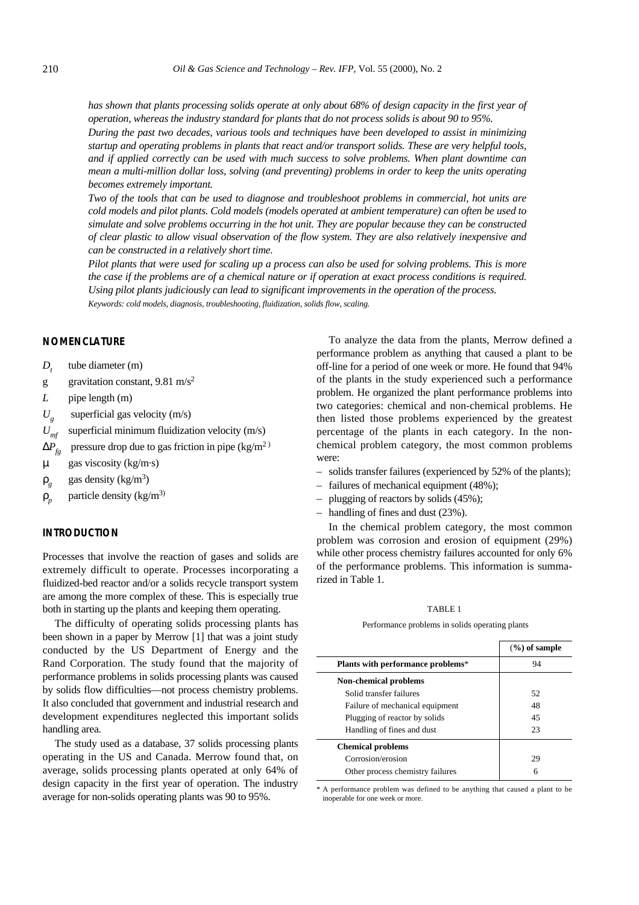*has shown that plants processing solids operate at only about 68% of design capacity in the first year of operation, whereas the industry standard for plants that do not process solids is about 90 to 95%.*

*During the past two decades, various tools and techniques have been developed to assist in minimizing startup and operating problems in plants that react and/or transport solids. These are very helpful tools, and if applied correctly can be used with much success to solve problems. When plant downtime can mean a multi-million dollar loss, solving (and preventing) problems in order to keep the units operating becomes extremely important.*

*Two of the tools that can be used to diagnose and troubleshoot problems in commercial, hot units are cold models and pilot plants. Cold models (models operated at ambient temperature) can often be used to simulate and solve problems occurring in the hot unit. They are popular because they can be constructed of clear plastic to allow visual observation of the flow system. They are also relatively inexpensive and can be constructed in a relatively short time.*

*Pilot plants that were used for scaling up a process can also be used for solving problems. This is more the case if the problems are of a chemical nature or if operation at exact process conditions is required. Using pilot plants judiciously can lead to significant improvements in the operation of the process. Keywords: cold models, diagnosis, troubleshooting, fluidization, solids flow, scaling.*

## **NOMENCLATURE**

- $D_t$  tube diameter (m)
- g gravitation constant,  $9.81 \text{ m/s}^2$
- *L* pipe length (m)
- $U_g$ superficial gas velocity (m/s)
- $U_{\text{mf}}$  superficial minimum fluidization velocity (m/s)
- $\Delta P_{f_p}$  pressure drop due to gas friction in pipe (kg/m<sup>2)</sup>
- µ gas viscosity (kg/m·s)
- $\rho_g$  gas density (kg/m<sup>3</sup>)
- $\rho_p$  particle density (kg/m<sup>3)</sup>

## **INTRODUCTION**

Processes that involve the reaction of gases and solids are extremely difficult to operate. Processes incorporating a fluidized-bed reactor and/or a solids recycle transport system are among the more complex of these. This is especially true both in starting up the plants and keeping them operating.

The difficulty of operating solids processing plants has been shown in a paper by Merrow [1] that was a joint study conducted by the US Department of Energy and the Rand Corporation. The study found that the majority of performance problems in solids processing plants was caused by solids flow difficulties—not process chemistry problems. It also concluded that government and industrial research and development expenditures neglected this important solids handling area.

The study used as a database, 37 solids processing plants operating in the US and Canada. Merrow found that, on average, solids processing plants operated at only 64% of design capacity in the first year of operation. The industry average for non-solids operating plants was 90 to 95%.

To analyze the data from the plants, Merrow defined a performance problem as anything that caused a plant to be off-line for a period of one week or more. He found that 94% of the plants in the study experienced such a performance problem. He organized the plant performance problems into two categories: chemical and non-chemical problems. He then listed those problems experienced by the greatest percentage of the plants in each category. In the nonchemical problem category, the most common problems were:

- solids transfer failures (experienced by 52% of the plants);
- failures of mechanical equipment (48%);
- plugging of reactors by solids (45%);
- handling of fines and dust (23%).

In the chemical problem category, the most common problem was corrosion and erosion of equipment (29%) while other process chemistry failures accounted for only 6% of the performance problems. This information is summarized in Table 1.

### TABLE 1

#### Performance problems in solids operating plants

|                                   | $(\%)$ of sample |
|-----------------------------------|------------------|
| Plants with performance problems* | 94               |
| Non-chemical problems             |                  |
| Solid transfer failures           | 52               |
| Failure of mechanical equipment   | 48               |
| Plugging of reactor by solids     | 45               |
| Handling of fines and dust        | 23               |
| <b>Chemical problems</b>          |                  |
| Corrosion/erosion                 | 29               |
| Other process chemistry failures  | 6                |

\* A performance problem was defined to be anything that caused a plant to be inoperable for one week or more.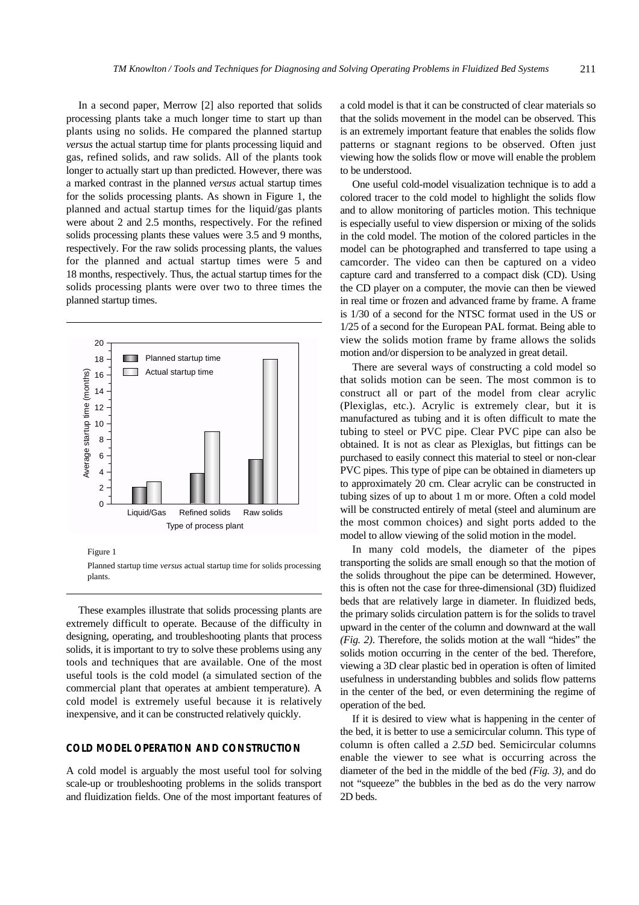In a second paper, Merrow [2] also reported that solids processing plants take a much longer time to start up than plants using no solids. He compared the planned startup *versus* the actual startup time for plants processing liquid and gas, refined solids, and raw solids. All of the plants took longer to actually start up than predicted. However, there was a marked contrast in the planned *versus* actual startup times for the solids processing plants. As shown in Figure 1, the planned and actual startup times for the liquid/gas plants were about 2 and 2.5 months, respectively. For the refined solids processing plants these values were 3.5 and 9 months, respectively. For the raw solids processing plants, the values for the planned and actual startup times were 5 and 18 months, respectively. Thus, the actual startup times for the solids processing plants were over two to three times the planned startup times.



Figure 1

Planned startup time *versus* actual startup time for solids processing plants.

These examples illustrate that solids processing plants are extremely difficult to operate. Because of the difficulty in designing, operating, and troubleshooting plants that process solids, it is important to try to solve these problems using any tools and techniques that are available. One of the most useful tools is the cold model (a simulated section of the commercial plant that operates at ambient temperature). A cold model is extremely useful because it is relatively inexpensive, and it can be constructed relatively quickly.

## **COLD MODEL OPERATION AND CONSTRUCTION**

A cold model is arguably the most useful tool for solving scale-up or troubleshooting problems in the solids transport and fluidization fields. One of the most important features of

a cold model is that it can be constructed of clear materials so that the solids movement in the model can be observed. This is an extremely important feature that enables the solids flow patterns or stagnant regions to be observed. Often just viewing how the solids flow or move will enable the problem to be understood.

One useful cold-model visualization technique is to add a colored tracer to the cold model to highlight the solids flow and to allow monitoring of particles motion. This technique is especially useful to view dispersion or mixing of the solids in the cold model. The motion of the colored particles in the model can be photographed and transferred to tape using a camcorder. The video can then be captured on a video capture card and transferred to a compact disk (CD). Using the CD player on a computer, the movie can then be viewed in real time or frozen and advanced frame by frame. A frame is 1/30 of a second for the NTSC format used in the US or 1/25 of a second for the European PAL format. Being able to view the solids motion frame by frame allows the solids motion and/or dispersion to be analyzed in great detail.

There are several ways of constructing a cold model so that solids motion can be seen. The most common is to construct all or part of the model from clear acrylic (Plexiglas, etc.). Acrylic is extremely clear, but it is manufactured as tubing and it is often difficult to mate the tubing to steel or PVC pipe. Clear PVC pipe can also be obtained. It is not as clear as Plexiglas, but fittings can be purchased to easily connect this material to steel or non-clear PVC pipes. This type of pipe can be obtained in diameters up to approximately 20 cm. Clear acrylic can be constructed in tubing sizes of up to about 1 m or more. Often a cold model will be constructed entirely of metal (steel and aluminum are the most common choices) and sight ports added to the model to allow viewing of the solid motion in the model.

In many cold models, the diameter of the pipes transporting the solids are small enough so that the motion of the solids throughout the pipe can be determined. However, this is often not the case for three-dimensional (3D) fluidized beds that are relatively large in diameter. In fluidized beds, the primary solids circulation pattern is for the solids to travel upward in the center of the column and downward at the wall *(Fig. 2)*. Therefore, the solids motion at the wall "hides" the solids motion occurring in the center of the bed. Therefore, viewing a 3D clear plastic bed in operation is often of limited usefulness in understanding bubbles and solids flow patterns in the center of the bed, or even determining the regime of operation of the bed.

If it is desired to view what is happening in the center of the bed, it is better to use a semicircular column. This type of column is often called a *2.5D* bed. Semicircular columns enable the viewer to see what is occurring across the diameter of the bed in the middle of the bed *(Fig. 3)*, and do not "squeeze" the bubbles in the bed as do the very narrow 2D beds.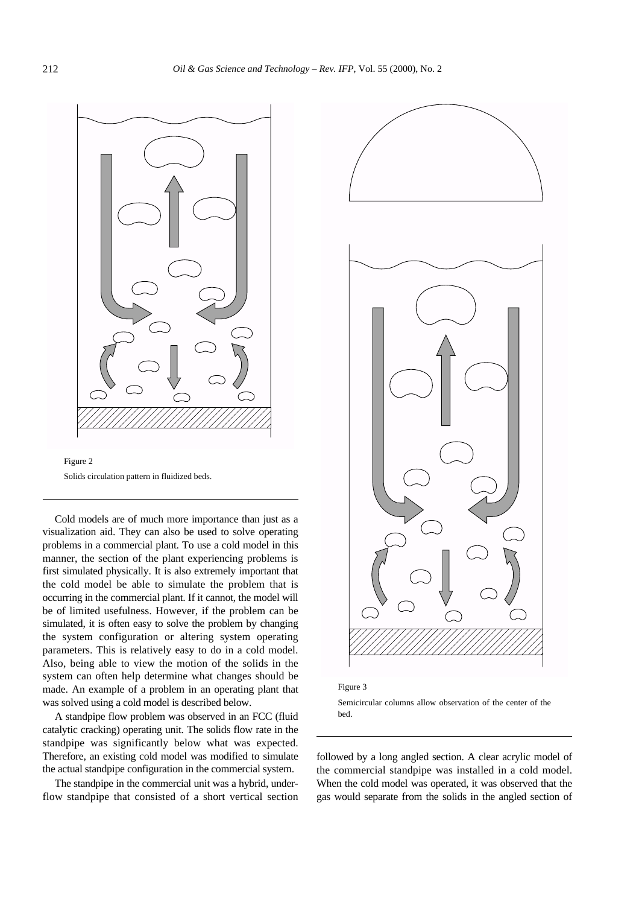



Cold models are of much more importance than just as a visualization aid. They can also be used to solve operating problems in a commercial plant. To use a cold model in this manner, the section of the plant experiencing problems is first simulated physically. It is also extremely important that the cold model be able to simulate the problem that is occurring in the commercial plant. If it cannot, the model will be of limited usefulness. However, if the problem can be simulated, it is often easy to solve the problem by changing the system configuration or altering system operating parameters. This is relatively easy to do in a cold model. Also, being able to view the motion of the solids in the system can often help determine what changes should be made. An example of a problem in an operating plant that was solved using a cold model is described below.

A standpipe flow problem was observed in an FCC (fluid catalytic cracking) operating unit. The solids flow rate in the standpipe was significantly below what was expected. Therefore, an existing cold model was modified to simulate the actual standpipe configuration in the commercial system.

The standpipe in the commercial unit was a hybrid, underflow standpipe that consisted of a short vertical section



Figure 3

Semicircular columns allow observation of the center of the bed.

followed by a long angled section. A clear acrylic model of the commercial standpipe was installed in a cold model. When the cold model was operated, it was observed that the gas would separate from the solids in the angled section of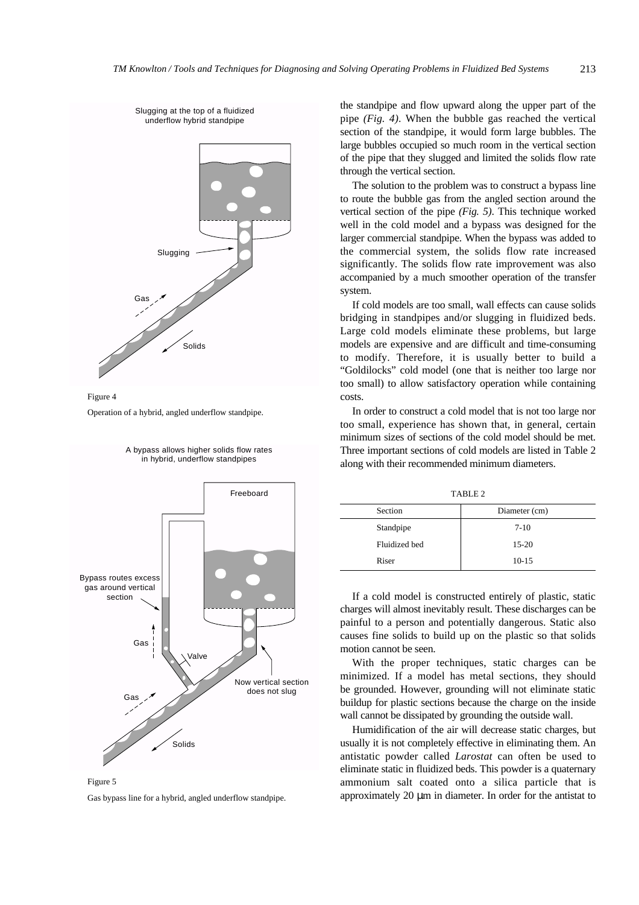



Operation of a hybrid, angled underflow standpipe.



#### A bypass allows higher solids flow rates in hybrid, underflow standpipes

Figure 5 Gas bypass line for a hybrid, angled underflow standpipe.

the standpipe and flow upward along the upper part of the pipe *(Fig. 4)*. When the bubble gas reached the vertical section of the standpipe, it would form large bubbles. The large bubbles occupied so much room in the vertical section of the pipe that they slugged and limited the solids flow rate through the vertical section.

The solution to the problem was to construct a bypass line to route the bubble gas from the angled section around the vertical section of the pipe *(Fig. 5)*. This technique worked well in the cold model and a bypass was designed for the larger commercial standpipe. When the bypass was added to the commercial system, the solids flow rate increased significantly. The solids flow rate improvement was also accompanied by a much smoother operation of the transfer system.

If cold models are too small, wall effects can cause solids bridging in standpipes and/or slugging in fluidized beds. Large cold models eliminate these problems, but large models are expensive and are difficult and time-consuming to modify. Therefore, it is usually better to build a "Goldilocks" cold model (one that is neither too large nor too small) to allow satisfactory operation while containing costs.

In order to construct a cold model that is not too large nor too small, experience has shown that, in general, certain minimum sizes of sections of the cold model should be met. Three important sections of cold models are listed in Table 2 along with their recommended minimum diameters.

TABLE 2

| Section       | Diameter (cm) |
|---------------|---------------|
| Standpipe     | $7 - 10$      |
| Fluidized bed | $15 - 20$     |
| Riser         | $10-15$       |

If a cold model is constructed entirely of plastic, static charges will almost inevitably result. These discharges can be painful to a person and potentially dangerous. Static also causes fine solids to build up on the plastic so that solids motion cannot be seen.

With the proper techniques, static charges can be minimized. If a model has metal sections, they should be grounded. However, grounding will not eliminate static buildup for plastic sections because the charge on the inside wall cannot be dissipated by grounding the outside wall.

Humidification of the air will decrease static charges, but usually it is not completely effective in eliminating them. An antistatic powder called *Larostat* can often be used to eliminate static in fluidized beds. This powder is a quaternary ammonium salt coated onto a silica particle that is approximately 20 µm in diameter. In order for the antistat to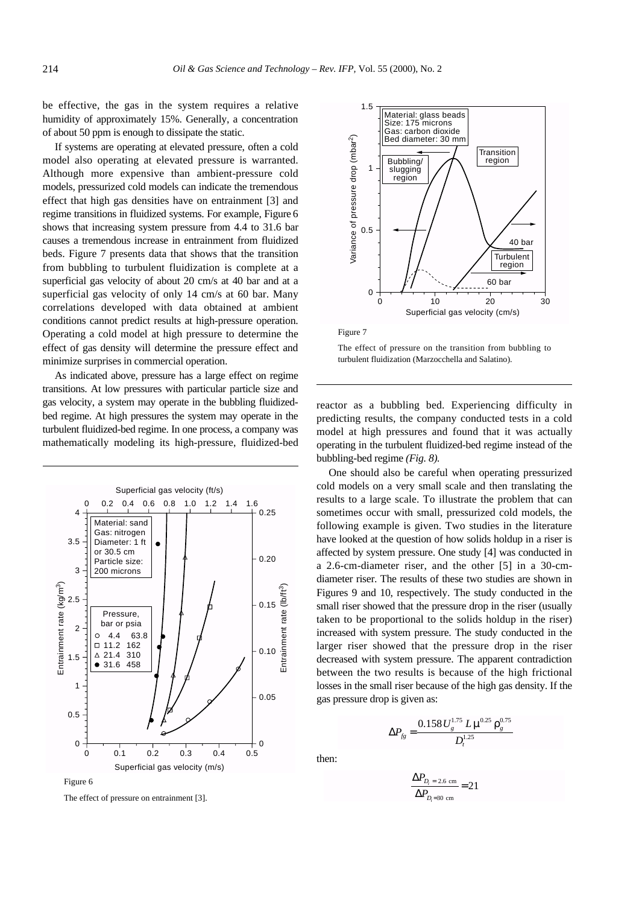be effective, the gas in the system requires a relative humidity of approximately 15%. Generally, a concentration of about 50 ppm is enough to dissipate the static.

If systems are operating at elevated pressure, often a cold model also operating at elevated pressure is warranted. Although more expensive than ambient-pressure cold models, pressurized cold models can indicate the tremendous effect that high gas densities have on entrainment [3] and regime transitions in fluidized systems. For example, Figure 6 shows that increasing system pressure from 4.4 to 31.6 bar causes a tremendous increase in entrainment from fluidized beds. Figure 7 presents data that shows that the transition from bubbling to turbulent fluidization is complete at a superficial gas velocity of about 20 cm/s at 40 bar and at a superficial gas velocity of only 14 cm/s at 60 bar. Many correlations developed with data obtained at ambient conditions cannot predict results at high-pressure operation. Operating a cold model at high pressure to determine the effect of gas density will determine the pressure effect and minimize surprises in commercial operation.

As indicated above, pressure has a large effect on regime transitions. At low pressures with particular particle size and gas velocity, a system may operate in the bubbling fluidizedbed regime. At high pressures the system may operate in the turbulent fluidized-bed regime. In one process, a company was mathematically modeling its high-pressure, fluidized-bed





Figure 7

The effect of pressure on the transition from bubbling to turbulent fluidization (Marzocchella and Salatino).

reactor as a bubbling bed. Experiencing difficulty in predicting results, the company conducted tests in a cold model at high pressures and found that it was actually operating in the turbulent fluidized-bed regime instead of the bubbling-bed regime *(Fig. 8).*

One should also be careful when operating pressurized cold models on a very small scale and then translating the results to a large scale. To illustrate the problem that can sometimes occur with small, pressurized cold models, the following example is given. Two studies in the literature have looked at the question of how solids holdup in a riser is affected by system pressure. One study [4] was conducted in a 2.6-cm-diameter riser, and the other [5] in a 30-cmdiameter riser. The results of these two studies are shown in Figures 9 and 10, respectively. The study conducted in the small riser showed that the pressure drop in the riser (usually taken to be proportional to the solids holdup in the riser) increased with system pressure. The study conducted in the larger riser showed that the pressure drop in the riser decreased with system pressure. The apparent contradiction between the two results is because of the high frictional losses in the small riser because of the high gas density. If the gas pressure drop is given as:

$$
\Delta P_{fg} = \frac{0.158 \, U_s^{1.75} \, L \, \mu^{0.25} \, \rho_g^{0.75}}{D_t^{1.25}}
$$

then:

$$
\frac{\Delta P_{D_i = 2.6 \text{ cm}}}{\Delta P_{D_i = 30 \text{ cm}}} = 21
$$

Figure 6

The effect of pressure on entrainment [3].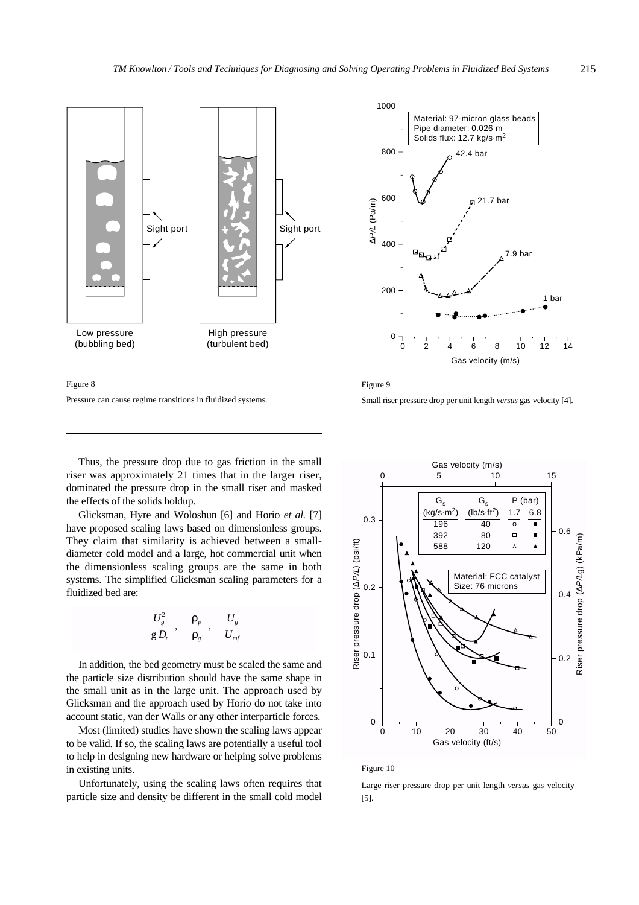



Figure 9 Small riser pressure drop per unit length *versus* gas velocity [4].

Thus, the pressure drop due to gas friction in the small riser was approximately 21 times that in the larger riser, dominated the pressure drop in the small riser and masked the effects of the solids holdup.

Pressure can cause regime transitions in fluidized systems.

Glicksman, Hyre and Woloshun [6] and Horio *et al.* [7] have proposed scaling laws based on dimensionless groups. They claim that similarity is achieved between a smalldiameter cold model and a large, hot commercial unit when the dimensionless scaling groups are the same in both systems. The simplified Glicksman scaling parameters for a fluidized bed are:

$$
\left(\frac{U_g^2}{g\,D_t}\right),\ \left(\frac{\rho_p}{\rho_g}\right),\ \left(\frac{U_g}{U_{mf}}\right)
$$

In addition, the bed geometry must be scaled the same and the particle size distribution should have the same shape in the small unit as in the large unit. The approach used by Glicksman and the approach used by Horio do not take into account static, van der Walls or any other interparticle forces.

Most (limited) studies have shown the scaling laws appear to be valid. If so, the scaling laws are potentially a useful tool to help in designing new hardware or helping solve problems in existing units.

Unfortunately, using the scaling laws often requires that particle size and density be different in the small cold model



#### Figure 10

Large riser pressure drop per unit length *versus* gas velocity [5].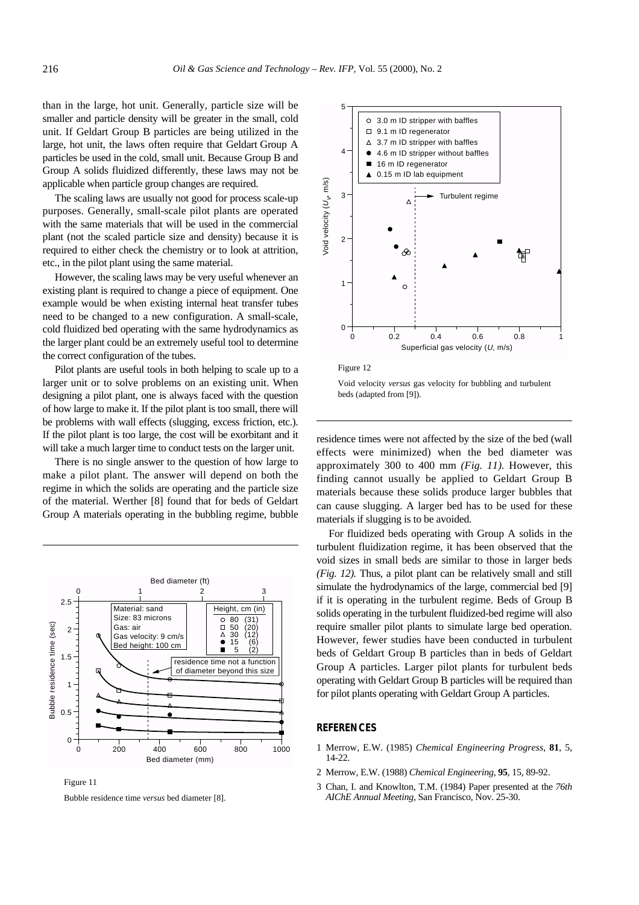than in the large, hot unit. Generally, particle size will be smaller and particle density will be greater in the small, cold unit. If Geldart Group B particles are being utilized in the large, hot unit, the laws often require that Geldart Group A particles be used in the cold, small unit. Because Group B and Group A solids fluidized differently, these laws may not be applicable when particle group changes are required.

The scaling laws are usually not good for process scale-up purposes. Generally, small-scale pilot plants are operated with the same materials that will be used in the commercial plant (not the scaled particle size and density) because it is required to either check the chemistry or to look at attrition, etc., in the pilot plant using the same material.

However, the scaling laws may be very useful whenever an existing plant is required to change a piece of equipment. One example would be when existing internal heat transfer tubes need to be changed to a new configuration. A small-scale, cold fluidized bed operating with the same hydrodynamics as the larger plant could be an extremely useful tool to determine the correct configuration of the tubes.

Pilot plants are useful tools in both helping to scale up to a larger unit or to solve problems on an existing unit. When designing a pilot plant, one is always faced with the question of how large to make it. If the pilot plant is too small, there will be problems with wall effects (slugging, excess friction, etc.). If the pilot plant is too large, the cost will be exorbitant and it will take a much larger time to conduct tests on the larger unit.

There is no single answer to the question of how large to make a pilot plant. The answer will depend on both the regime in which the solids are operating and the particle size of the material. Werther [8] found that for beds of Geldart Group A materials operating in the bubbling regime, bubble



Figure 11

Bubble residence time *versus* bed diameter [8].





Void velocity *versus* gas velocity for bubbling and turbulent beds (adapted from [9]).

residence times were not affected by the size of the bed (wall effects were minimized) when the bed diameter was approximately 300 to 400 mm *(Fig. 11).* However, this finding cannot usually be applied to Geldart Group B materials because these solids produce larger bubbles that can cause slugging. A larger bed has to be used for these materials if slugging is to be avoided.

For fluidized beds operating with Group A solids in the turbulent fluidization regime, it has been observed that the void sizes in small beds are similar to those in larger beds *(Fig. 12).* Thus, a pilot plant can be relatively small and still simulate the hydrodynamics of the large, commercial bed [9] if it is operating in the turbulent regime. Beds of Group B solids operating in the turbulent fluidized-bed regime will also require smaller pilot plants to simulate large bed operation. However, fewer studies have been conducted in turbulent beds of Geldart Group B particles than in beds of Geldart Group A particles. Larger pilot plants for turbulent beds operating with Geldart Group B particles will be required than for pilot plants operating with Geldart Group A particles.

## **REFERENCES**

- 1 Merrow, E.W. (1985) *Chemical Engineering Progress*, **81**, 5, 14-22.
- 2 Merrow, E.W. (1988) *Chemical Engineering*, **95**, 15, 89-92.
- 3 Chan, I. and Knowlton, T.M. (1984) Paper presented at the *76th AIChE Annual Meeting*, San Francisco, Nov. 25-30.